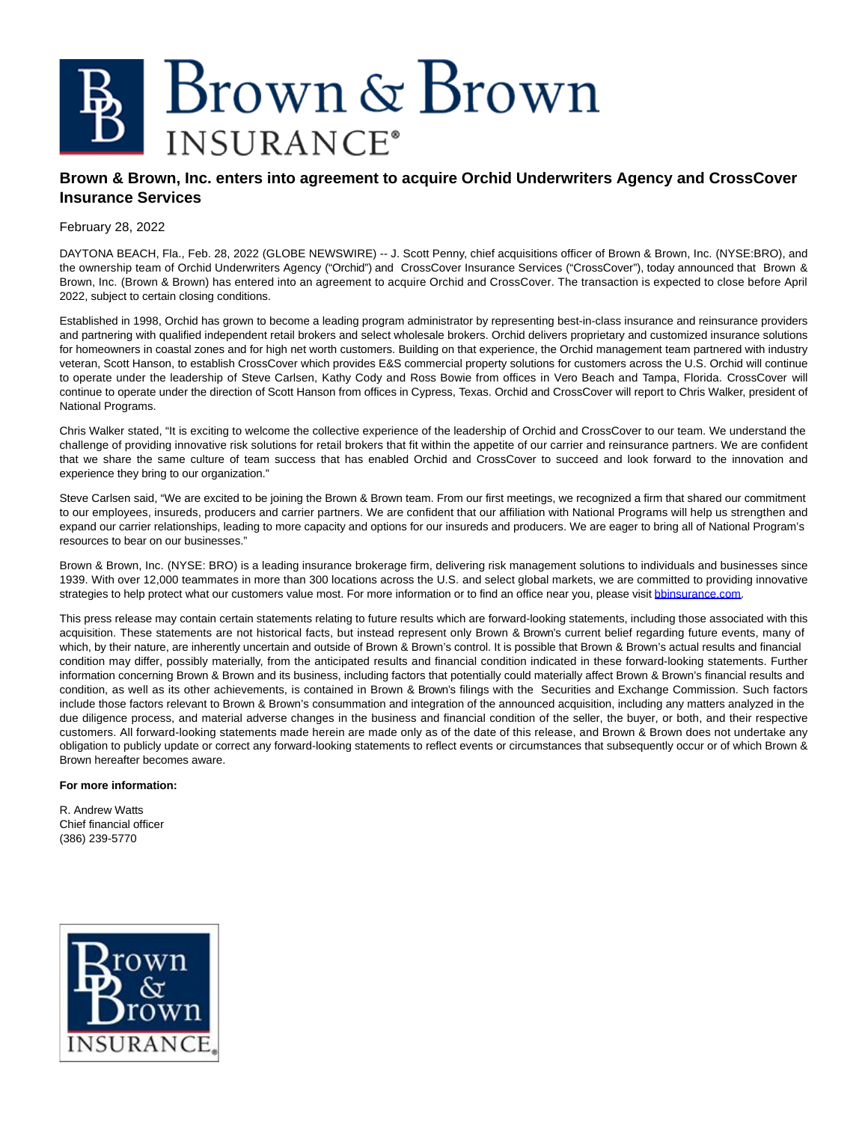## Brown & Brown **INSURANCE®**

## **Brown & Brown, Inc. enters into agreement to acquire Orchid Underwriters Agency and CrossCover Insurance Services**

February 28, 2022

DAYTONA BEACH, Fla., Feb. 28, 2022 (GLOBE NEWSWIRE) -- J. Scott Penny, chief acquisitions officer of Brown & Brown, Inc. (NYSE:BRO), and the ownership team of Orchid Underwriters Agency ("Orchid") and CrossCover Insurance Services ("CrossCover"), today announced that Brown & Brown, Inc. (Brown & Brown) has entered into an agreement to acquire Orchid and CrossCover. The transaction is expected to close before April 2022, subject to certain closing conditions.

Established in 1998, Orchid has grown to become a leading program administrator by representing best-in-class insurance and reinsurance providers and partnering with qualified independent retail brokers and select wholesale brokers. Orchid delivers proprietary and customized insurance solutions for homeowners in coastal zones and for high net worth customers. Building on that experience, the Orchid management team partnered with industry veteran, Scott Hanson, to establish CrossCover which provides E&S commercial property solutions for customers across the U.S. Orchid will continue to operate under the leadership of Steve Carlsen, Kathy Cody and Ross Bowie from offices in Vero Beach and Tampa, Florida. CrossCover will continue to operate under the direction of Scott Hanson from offices in Cypress, Texas. Orchid and CrossCover will report to Chris Walker, president of National Programs.

Chris Walker stated, "It is exciting to welcome the collective experience of the leadership of Orchid and CrossCover to our team. We understand the challenge of providing innovative risk solutions for retail brokers that fit within the appetite of our carrier and reinsurance partners. We are confident that we share the same culture of team success that has enabled Orchid and CrossCover to succeed and look forward to the innovation and experience they bring to our organization."

Steve Carlsen said, "We are excited to be joining the Brown & Brown team. From our first meetings, we recognized a firm that shared our commitment to our employees, insureds, producers and carrier partners. We are confident that our affiliation with National Programs will help us strengthen and expand our carrier relationships, leading to more capacity and options for our insureds and producers. We are eager to bring all of National Program's resources to bear on our businesses."

Brown & Brown, Inc. (NYSE: BRO) is a leading insurance brokerage firm, delivering risk management solutions to individuals and businesses since 1939. With over 12,000 teammates in more than 300 locations across the U.S. and select global markets, we are committed to providing innovative strategies to help protect what our customers value most. For more information or to find an office near you, please visit [bbinsurance.com.](http://bbinsurance.com/)

This press release may contain certain statements relating to future results which are forward-looking statements, including those associated with this acquisition. These statements are not historical facts, but instead represent only Brown & Brown's current belief regarding future events, many of which, by their nature, are inherently uncertain and outside of Brown & Brown's control. It is possible that Brown & Brown's actual results and financial condition may differ, possibly materially, from the anticipated results and financial condition indicated in these forward-looking statements. Further information concerning Brown & Brown and its business, including factors that potentially could materially affect Brown & Brown's financial results and condition, as well as its other achievements, is contained in Brown & Brown's filings with the Securities and Exchange Commission. Such factors include those factors relevant to Brown & Brown's consummation and integration of the announced acquisition, including any matters analyzed in the due diligence process, and material adverse changes in the business and financial condition of the seller, the buyer, or both, and their respective customers. All forward-looking statements made herein are made only as of the date of this release, and Brown & Brown does not undertake any obligation to publicly update or correct any forward-looking statements to reflect events or circumstances that subsequently occur or of which Brown & Brown hereafter becomes aware.

## **For more information:**

R. Andrew Watts Chief financial officer (386) 239-5770